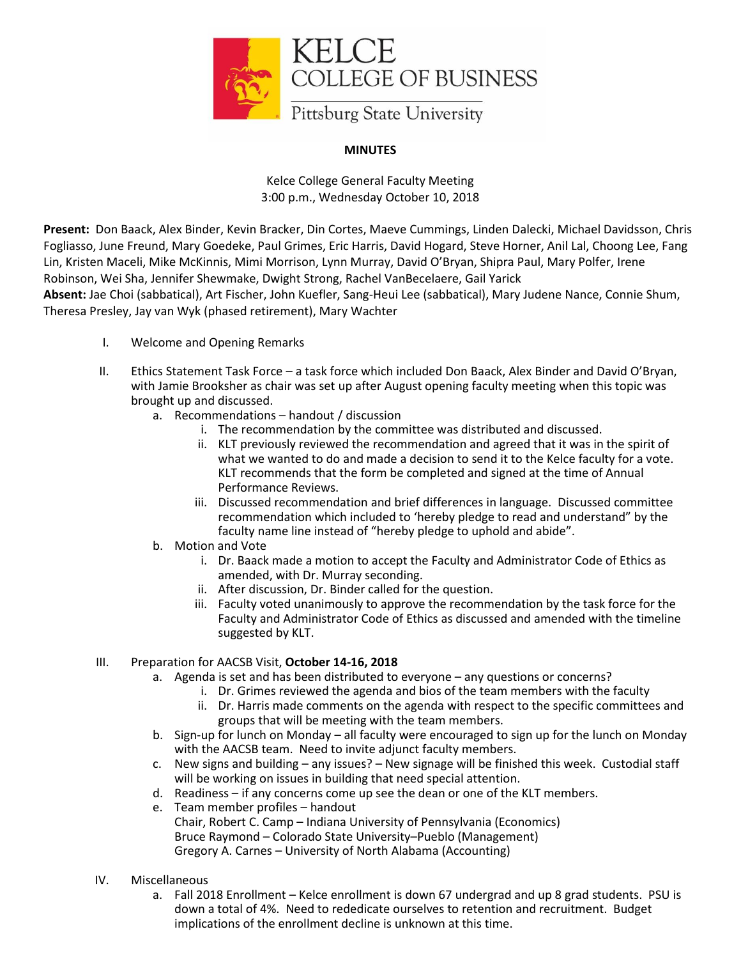

## **MINUTES**

Kelce College General Faculty Meeting 3:00 p.m., Wednesday October 10, 2018

**Present:** Don Baack, Alex Binder, Kevin Bracker, Din Cortes, Maeve Cummings, Linden Dalecki, Michael Davidsson, Chris Fogliasso, June Freund, Mary Goedeke, Paul Grimes, Eric Harris, David Hogard, Steve Horner, Anil Lal, Choong Lee, Fang Lin, Kristen Maceli, Mike McKinnis, Mimi Morrison, Lynn Murray, David O'Bryan, Shipra Paul, Mary Polfer, Irene Robinson, Wei Sha, Jennifer Shewmake, Dwight Strong, Rachel VanBecelaere, Gail Yarick **Absent:** Jae Choi (sabbatical), Art Fischer, John Kuefler, Sang-Heui Lee (sabbatical), Mary Judene Nance, Connie Shum, Theresa Presley, Jay van Wyk (phased retirement), Mary Wachter

- I. Welcome and Opening Remarks
- II. Ethics Statement Task Force a task force which included Don Baack, Alex Binder and David O'Bryan, with Jamie Brooksher as chair was set up after August opening faculty meeting when this topic was brought up and discussed.
	- a. Recommendations handout / discussion
		- i. The recommendation by the committee was distributed and discussed.
		- ii. KLT previously reviewed the recommendation and agreed that it was in the spirit of what we wanted to do and made a decision to send it to the Kelce faculty for a vote. KLT recommends that the form be completed and signed at the time of Annual Performance Reviews.
		- iii. Discussed recommendation and brief differences in language. Discussed committee recommendation which included to 'hereby pledge to read and understand" by the faculty name line instead of "hereby pledge to uphold and abide".
	- b. Motion and Vote
		- i. Dr. Baack made a motion to accept the Faculty and Administrator Code of Ethics as amended, with Dr. Murray seconding.
		- ii. After discussion, Dr. Binder called for the question.
		- iii. Faculty voted unanimously to approve the recommendation by the task force for the Faculty and Administrator Code of Ethics as discussed and amended with the timeline suggested by KLT.

## III. Preparation for AACSB Visit, **October 14-16, 2018**

- a. Agenda is set and has been distributed to everyone any questions or concerns?
	- i. Dr. Grimes reviewed the agenda and bios of the team members with the faculty
		- ii. Dr. Harris made comments on the agenda with respect to the specific committees and groups that will be meeting with the team members.
- b. Sign-up for lunch on Monday all faculty were encouraged to sign up for the lunch on Monday with the AACSB team. Need to invite adjunct faculty members.
- c. New signs and building any issues? New signage will be finished this week. Custodial staff will be working on issues in building that need special attention.
- d. Readiness if any concerns come up see the dean or one of the KLT members.
- e. Team member profiles handout
	- Chair, Robert C. Camp Indiana University of Pennsylvania (Economics) Bruce Raymond – Colorado State University–Pueblo (Management) Gregory A. Carnes – University of North Alabama (Accounting)
- IV. Miscellaneous
	- a. Fall 2018 Enrollment Kelce enrollment is down 67 undergrad and up 8 grad students. PSU is down a total of 4%. Need to rededicate ourselves to retention and recruitment. Budget implications of the enrollment decline is unknown at this time.